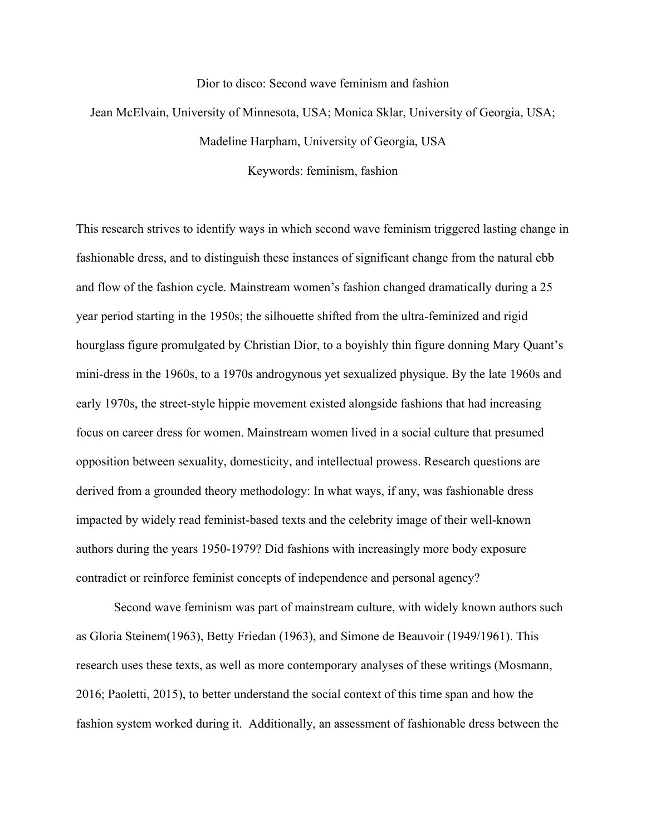## Dior to disco: Second wave feminism and fashion

## Jean McElvain, University of Minnesota, USA; Monica Sklar, University of Georgia, USA; Madeline Harpham, University of Georgia, USA

Keywords: feminism, fashion

This research strives to identify ways in which second wave feminism triggered lasting change in fashionable dress, and to distinguish these instances of significant change from the natural ebb and flow of the fashion cycle. Mainstream women's fashion changed dramatically during a 25 year period starting in the 1950s; the silhouette shifted from the ultra-feminized and rigid hourglass figure promulgated by Christian Dior, to a boyishly thin figure donning Mary Quant's mini-dress in the 1960s, to a 1970s androgynous yet sexualized physique. By the late 1960s and early 1970s, the street-style hippie movement existed alongside fashions that had increasing focus on career dress for women. Mainstream women lived in a social culture that presumed opposition between sexuality, domesticity, and intellectual prowess. Research questions are derived from a grounded theory methodology: In what ways, if any, was fashionable dress impacted by widely read feminist-based texts and the celebrity image of their well-known authors during the years 1950-1979? Did fashions with increasingly more body exposure contradict or reinforce feminist concepts of independence and personal agency?

Second wave feminism was part of mainstream culture, with widely known authors such as Gloria Steinem(1963), Betty Friedan (1963), and Simone de Beauvoir (1949/1961). This research uses these texts, as well as more contemporary analyses of these writings (Mosmann, 2016; Paoletti, 2015), to better understand the social context of this time span and how the fashion system worked during it. Additionally, an assessment of fashionable dress between the